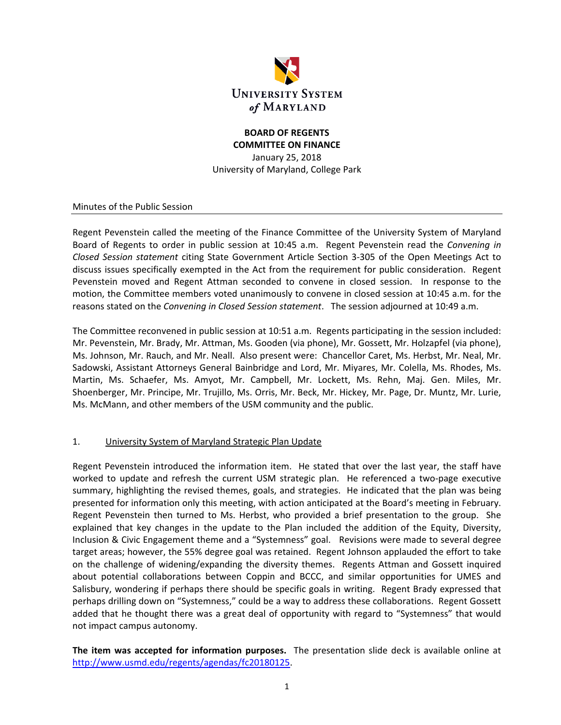

#### **BOARD OF REGENTS COMMITTEE ON FINANCE**

January 25, 2018 University of Maryland, College Park

Minutes of the Public Session

Regent Pevenstein called the meeting of the Finance Committee of the University System of Maryland Board of Regents to order in public session at 10:45 a.m. Regent Pevenstein read the *Convening in Closed Session statement* citing State Government Article Section 3‐305 of the Open Meetings Act to discuss issues specifically exempted in the Act from the requirement for public consideration. Regent Pevenstein moved and Regent Attman seconded to convene in closed session. In response to the motion, the Committee members voted unanimously to convene in closed session at 10:45 a.m. for the reasons stated on the *Convening in Closed Session statement*. The session adjourned at 10:49 a.m.

The Committee reconvened in public session at 10:51 a.m. Regents participating in the session included: Mr. Pevenstein, Mr. Brady, Mr. Attman, Ms. Gooden (via phone), Mr. Gossett, Mr. Holzapfel (via phone), Ms. Johnson, Mr. Rauch, and Mr. Neall. Also present were: Chancellor Caret, Ms. Herbst, Mr. Neal, Mr. Sadowski, Assistant Attorneys General Bainbridge and Lord, Mr. Miyares, Mr. Colella, Ms. Rhodes, Ms. Martin, Ms. Schaefer, Ms. Amyot, Mr. Campbell, Mr. Lockett, Ms. Rehn, Maj. Gen. Miles, Mr. Shoenberger, Mr. Principe, Mr. Trujillo, Ms. Orris, Mr. Beck, Mr. Hickey, Mr. Page, Dr. Muntz, Mr. Lurie, Ms. McMann, and other members of the USM community and the public.

#### 1. University System of Maryland Strategic Plan Update

Regent Pevenstein introduced the information item. He stated that over the last year, the staff have worked to update and refresh the current USM strategic plan. He referenced a two-page executive summary, highlighting the revised themes, goals, and strategies. He indicated that the plan was being presented for information only this meeting, with action anticipated at the Board's meeting in February. Regent Pevenstein then turned to Ms. Herbst, who provided a brief presentation to the group. She explained that key changes in the update to the Plan included the addition of the Equity, Diversity, Inclusion & Civic Engagement theme and a "Systemness" goal. Revisions were made to several degree target areas; however, the 55% degree goal was retained. Regent Johnson applauded the effort to take on the challenge of widening/expanding the diversity themes. Regents Attman and Gossett inquired about potential collaborations between Coppin and BCCC, and similar opportunities for UMES and Salisbury, wondering if perhaps there should be specific goals in writing. Regent Brady expressed that perhaps drilling down on "Systemness," could be a way to address these collaborations. Regent Gossett added that he thought there was a great deal of opportunity with regard to "Systemness" that would not impact campus autonomy.

**The item was accepted for information purposes.**  The presentation slide deck is available online at http://www.usmd.edu/regents/agendas/fc20180125.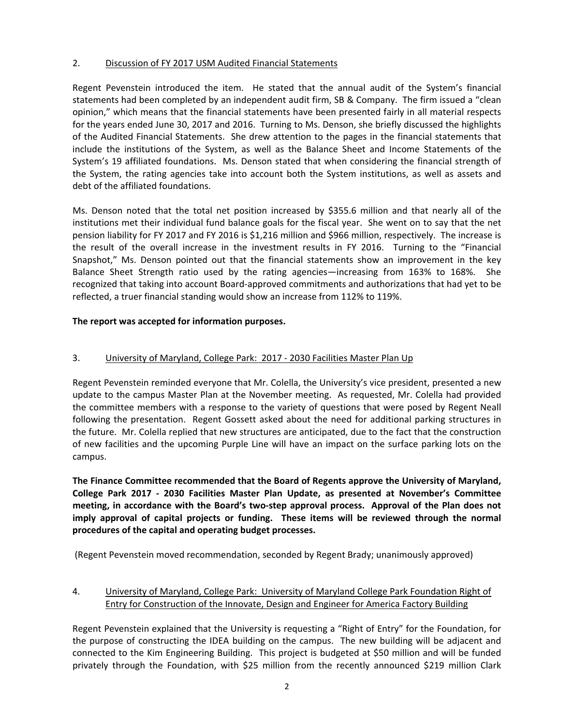#### 2. Discussion of FY 2017 USM Audited Financial Statements

Regent Pevenstein introduced the item. He stated that the annual audit of the System's financial statements had been completed by an independent audit firm, SB & Company. The firm issued a "clean opinion," which means that the financial statements have been presented fairly in all material respects for the years ended June 30, 2017 and 2016. Turning to Ms. Denson, she briefly discussed the highlights of the Audited Financial Statements. She drew attention to the pages in the financial statements that include the institutions of the System, as well as the Balance Sheet and Income Statements of the System's 19 affiliated foundations. Ms. Denson stated that when considering the financial strength of the System, the rating agencies take into account both the System institutions, as well as assets and debt of the affiliated foundations.

Ms. Denson noted that the total net position increased by \$355.6 million and that nearly all of the institutions met their individual fund balance goals for the fiscal year. She went on to say that the net pension liability for FY 2017 and FY 2016 is \$1,216 million and \$966 million, respectively. The increase is the result of the overall increase in the investment results in FY 2016. Turning to the "Financial Snapshot," Ms. Denson pointed out that the financial statements show an improvement in the key Balance Sheet Strength ratio used by the rating agencies—increasing from 163% to 168%. She recognized that taking into account Board‐approved commitments and authorizations that had yet to be reflected, a truer financial standing would show an increase from 112% to 119%.

# **The report was accepted for information purposes.**

# 3. University of Maryland, College Park: 2017 - 2030 Facilities Master Plan Up

Regent Pevenstein reminded everyone that Mr. Colella, the University's vice president, presented a new update to the campus Master Plan at the November meeting. As requested, Mr. Colella had provided the committee members with a response to the variety of questions that were posed by Regent Neall following the presentation. Regent Gossett asked about the need for additional parking structures in the future. Mr. Colella replied that new structures are anticipated, due to the fact that the construction of new facilities and the upcoming Purple Line will have an impact on the surface parking lots on the campus.

**The Finance Committee recommended that the Board of Regents approve the University of Maryland, College Park 2017 ‐ 2030 Facilities Master Plan Update, as presented at November's Committee meeting, in accordance with the Board's two‐step approval process. Approval of the Plan does not imply approval of capital projects or funding. These items will be reviewed through the normal procedures of the capital and operating budget processes.**

(Regent Pevenstein moved recommendation, seconded by Regent Brady; unanimously approved)

# 4. University of Maryland, College Park: University of Maryland College Park Foundation Right of Entry for Construction of the Innovate, Design and Engineer for America Factory Building

Regent Pevenstein explained that the University is requesting a "Right of Entry" for the Foundation, for the purpose of constructing the IDEA building on the campus. The new building will be adjacent and connected to the Kim Engineering Building. This project is budgeted at \$50 million and will be funded privately through the Foundation, with \$25 million from the recently announced \$219 million Clark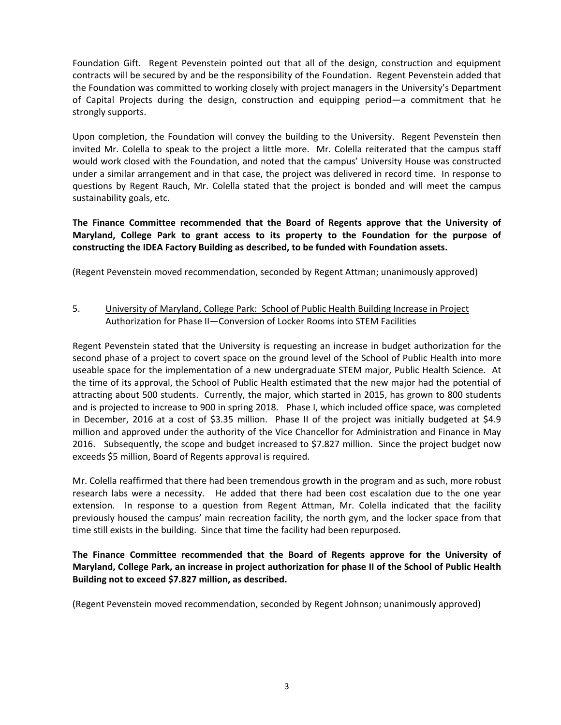Foundation Gift. Regent Pevenstein pointed out that all of the design, construction and equipment contracts will be secured by and be the responsibility of the Foundation. Regent Pevenstein added that the Foundation was committed to working closely with project managers in the University's Department of Capital Projects during the design, construction and equipping period—a commitment that he strongly supports.

Upon completion, the Foundation will convey the building to the University. Regent Pevenstein then invited Mr. Colella to speak to the project a little more. Mr. Colella reiterated that the campus staff would work closed with the Foundation, and noted that the campus' University House was constructed under a similar arrangement and in that case, the project was delivered in record time. In response to questions by Regent Rauch, Mr. Colella stated that the project is bonded and will meet the campus sustainability goals, etc.

**The Finance Committee recommended that the Board of Regents approve that the University of Maryland, College Park to grant access to its property to the Foundation for the purpose of constructing the IDEA Factory Building as described, to be funded with Foundation assets.**

(Regent Pevenstein moved recommendation, seconded by Regent Attman; unanimously approved)

# 5. University of Maryland, College Park: School of Public Health Building Increase in Project Authorization for Phase II—Conversion of Locker Rooms into STEM Facilities

Regent Pevenstein stated that the University is requesting an increase in budget authorization for the second phase of a project to covert space on the ground level of the School of Public Health into more useable space for the implementation of a new undergraduate STEM major, Public Health Science. At the time of its approval, the School of Public Health estimated that the new major had the potential of attracting about 500 students. Currently, the major, which started in 2015, has grown to 800 students and is projected to increase to 900 in spring 2018. Phase I, which included office space, was completed in December, 2016 at a cost of \$3.35 million. Phase II of the project was initially budgeted at \$4.9 million and approved under the authority of the Vice Chancellor for Administration and Finance in May 2016. Subsequently, the scope and budget increased to \$7.827 million. Since the project budget now exceeds \$5 million, Board of Regents approval is required.

Mr. Colella reaffirmed that there had been tremendous growth in the program and as such, more robust research labs were a necessity. He added that there had been cost escalation due to the one year extension. In response to a question from Regent Attman, Mr. Colella indicated that the facility previously housed the campus' main recreation facility, the north gym, and the locker space from that time still exists in the building. Since that time the facility had been repurposed.

# **The Finance Committee recommended that the Board of Regents approve for the University of Maryland, College Park, an increase in project authorization for phase II of the School of Public Health Building not to exceed \$7.827 million, as described.**

(Regent Pevenstein moved recommendation, seconded by Regent Johnson; unanimously approved)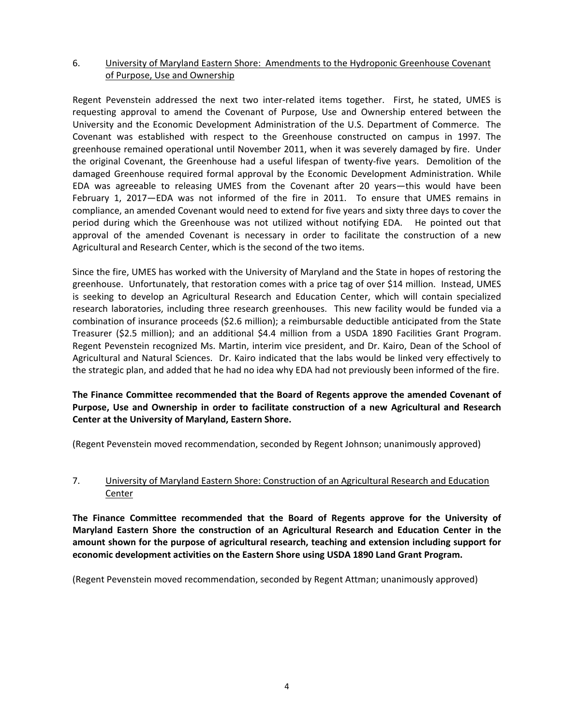#### 6. University of Maryland Eastern Shore: Amendments to the Hydroponic Greenhouse Covenant of Purpose, Use and Ownership

Regent Pevenstein addressed the next two inter-related items together. First, he stated, UMES is requesting approval to amend the Covenant of Purpose, Use and Ownership entered between the University and the Economic Development Administration of the U.S. Department of Commerce. The Covenant was established with respect to the Greenhouse constructed on campus in 1997. The greenhouse remained operational until November 2011, when it was severely damaged by fire. Under the original Covenant, the Greenhouse had a useful lifespan of twenty‐five years. Demolition of the damaged Greenhouse required formal approval by the Economic Development Administration. While EDA was agreeable to releasing UMES from the Covenant after 20 years—this would have been February 1, 2017–EDA was not informed of the fire in 2011. To ensure that UMES remains in compliance, an amended Covenant would need to extend for five years and sixty three days to cover the period during which the Greenhouse was not utilized without notifying EDA. He pointed out that approval of the amended Covenant is necessary in order to facilitate the construction of a new Agricultural and Research Center, which is the second of the two items.

Since the fire, UMES has worked with the University of Maryland and the State in hopes of restoring the greenhouse. Unfortunately, that restoration comes with a price tag of over \$14 million. Instead, UMES is seeking to develop an Agricultural Research and Education Center, which will contain specialized research laboratories, including three research greenhouses. This new facility would be funded via a combination of insurance proceeds (\$2.6 million); a reimbursable deductible anticipated from the State Treasurer (\$2.5 million); and an additional \$4.4 million from a USDA 1890 Facilities Grant Program. Regent Pevenstein recognized Ms. Martin, interim vice president, and Dr. Kairo, Dean of the School of Agricultural and Natural Sciences. Dr. Kairo indicated that the labs would be linked very effectively to the strategic plan, and added that he had no idea why EDA had not previously been informed of the fire.

**The Finance Committee recommended that the Board of Regents approve the amended Covenant of Purpose, Use and Ownership in order to facilitate construction of a new Agricultural and Research Center at the University of Maryland, Eastern Shore.**

(Regent Pevenstein moved recommendation, seconded by Regent Johnson; unanimously approved)

# 7. University of Maryland Eastern Shore: Construction of an Agricultural Research and Education Center

**The Finance Committee recommended that the Board of Regents approve for the University of Maryland Eastern Shore the construction of an Agricultural Research and Education Center in the amount shown for the purpose of agricultural research, teaching and extension including support for economic development activities on the Eastern Shore using USDA 1890 Land Grant Program.**

(Regent Pevenstein moved recommendation, seconded by Regent Attman; unanimously approved)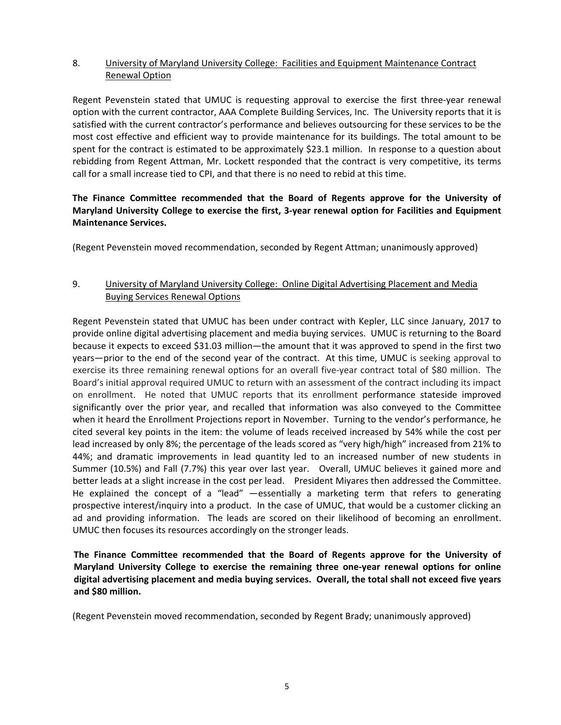#### 8. University of Maryland University College: Facilities and Equipment Maintenance Contract Renewal Option

Regent Pevenstein stated that UMUC is requesting approval to exercise the first three-year renewal option with the current contractor, AAA Complete Building Services, Inc. The University reports that it is satisfied with the current contractor's performance and believes outsourcing for these services to be the most cost effective and efficient way to provide maintenance for its buildings. The total amount to be spent for the contract is estimated to be approximately \$23.1 million. In response to a question about rebidding from Regent Attman, Mr. Lockett responded that the contract is very competitive, its terms call for a small increase tied to CPI, and that there is no need to rebid at this time.

# **The Finance Committee recommended that the Board of Regents approve for the University of Maryland University College to exercise the first, 3‐year renewal option for Facilities and Equipment Maintenance Services.**

(Regent Pevenstein moved recommendation, seconded by Regent Attman; unanimously approved)

# 9. University of Maryland University College: Online Digital Advertising Placement and Media Buying Services Renewal Options

Regent Pevenstein stated that UMUC has been under contract with Kepler, LLC since January, 2017 to provide online digital advertising placement and media buying services. UMUC is returning to the Board because it expects to exceed \$31.03 million—the amount that it was approved to spend in the first two years—prior to the end of the second year of the contract. At this time, UMUC is seeking approval to exercise its three remaining renewal options for an overall five‐year contract total of \$80 million. The Board's initial approval required UMUC to return with an assessment of the contract including its impact on enrollment. He noted that UMUC reports that its enrollment performance stateside improved significantly over the prior year, and recalled that information was also conveyed to the Committee when it heard the Enrollment Projections report in November. Turning to the vendor's performance, he cited several key points in the item: the volume of leads received increased by 54% while the cost per lead increased by only 8%; the percentage of the leads scored as "very high/high" increased from 21% to 44%; and dramatic improvements in lead quantity led to an increased number of new students in Summer (10.5%) and Fall (7.7%) this year over last year. Overall, UMUC believes it gained more and better leads at a slight increase in the cost per lead. President Miyares then addressed the Committee. He explained the concept of a "lead" —essentially a marketing term that refers to generating prospective interest/inquiry into a product. In the case of UMUC, that would be a customer clicking an ad and providing information. The leads are scored on their likelihood of becoming an enrollment. UMUC then focuses its resources accordingly on the stronger leads.

# **The Finance Committee recommended that the Board of Regents approve for the University of Maryland University College to exercise the remaining three one‐year renewal options for online digital advertising placement and media buying services. Overall, the total shall not exceed five years and \$80 million.**

(Regent Pevenstein moved recommendation, seconded by Regent Brady; unanimously approved)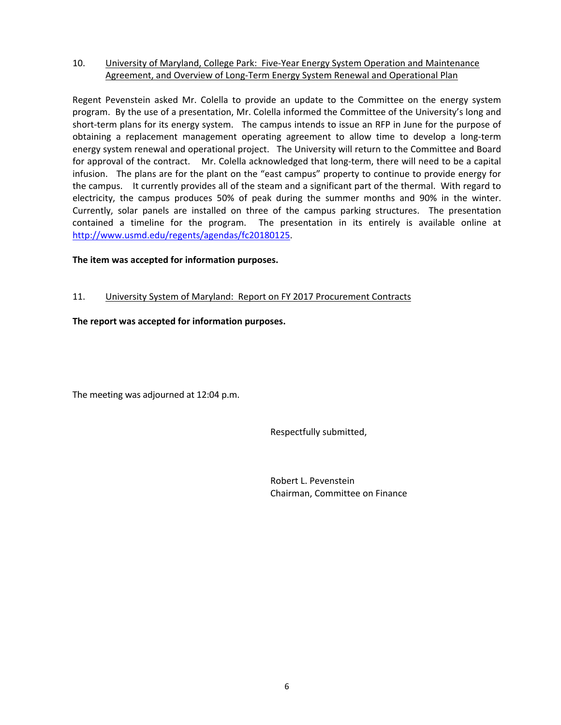#### 10. University of Maryland, College Park: Five‐Year Energy System Operation and Maintenance Agreement, and Overview of Long‐Term Energy System Renewal and Operational Plan

Regent Pevenstein asked Mr. Colella to provide an update to the Committee on the energy system program. By the use of a presentation, Mr. Colella informed the Committee of the University's long and short-term plans for its energy system. The campus intends to issue an RFP in June for the purpose of obtaining a replacement management operating agreement to allow time to develop a long‐term energy system renewal and operational project. The University will return to the Committee and Board for approval of the contract. Mr. Colella acknowledged that long-term, there will need to be a capital infusion. The plans are for the plant on the "east campus" property to continue to provide energy for the campus. It currently provides all of the steam and a significant part of the thermal. With regard to electricity, the campus produces 50% of peak during the summer months and 90% in the winter. Currently, solar panels are installed on three of the campus parking structures. The presentation contained a timeline for the program. The presentation in its entirely is available online at http://www.usmd.edu/regents/agendas/fc20180125.

# **The item was accepted for information purposes.**

# 11. University System of Maryland: Report on FY 2017 Procurement Contracts

# **The report was accepted for information purposes.**

The meeting was adjourned at 12:04 p.m.

Respectfully submitted,

 Robert L. Pevenstein Chairman, Committee on Finance